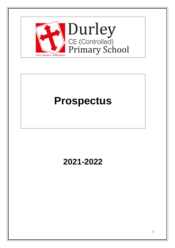

# **Prospectus**

# **2021-2022**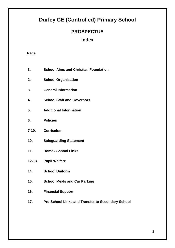# **Durley CE (Controlled) Primary School**

### **PROSPECTUS**

### **Index**

#### **Page**

- **3. School Aims and Christian Foundation**
- **2. School Organisation**
- **3. General Information**
- **4. School Staff and Governors**
- **5. Additional Information**
- **6. Policies**
- **7-10. Curriculum**
- **10. Safeguarding Statement**
- **11. Home / School Links**
- **12-13. Pupil Welfare**
- **14. School Uniform**
- **15. School Meals and Car Parking**
- **16. Financial Support**
- **17. Pre-School Links and Transfer to Secondary School**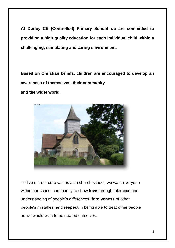**At Durley CE (Controlled) Primary School we are committed to providing a high quality education for each individual child within a challenging, stimulating and caring environment.**

**Based on Christian beliefs, children are encouraged to develop an awareness of themselves, their community** 

**and the wider world.**



To live out our core values as a church school, we want everyone within our school community to show **love** through tolerance and understanding of people's differences; **forgiveness** of other people's mistakes; and **respect** in being able to treat other people as we would wish to be treated ourselves.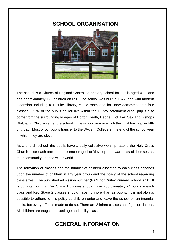### **SCHOOL ORGANISATION**



The school is a Church of England Controlled primary school for pupils aged 4-11 and has approximately 120 children on roll. The school was built in 1872, and with modern extension including ICT suite, library, music room and hall now accommodates four classes. 75% of the pupils on roll live within the Durley catchment area; pupils also come from the surrounding villages of Horton Heath, Hedge End, Fair Oak and Bishops Waltham. Children enter the school in the school year in which the child has his/her fifth birthday. Most of our pupils transfer to the Wyvern College at the end of the school year in which they are eleven.

As a church school, the pupils have a daily collective worship, attend the Holy Cross Church once each term and are encouraged to 'develop an awareness of themselves, their community and the wider world'.

The formation of classes and the number of children allocated to each class depends upon the number of children in any year group and the policy of the school regarding class sizes. The published admission number (PAN) for Durley Primary School is 16. It is our intention that Key Stage 1 classes should have approximately 24 pupils in each class and Key Stage 2 classes should have no more than 32 pupils. It is not always possible to adhere to this policy as children enter and leave the school on an irregular basis, but every effort is made to do so. There are 2 infant classes and 2 junior classes. All children are taught in mixed age and ability classes.

# **GENERAL INFORMATION**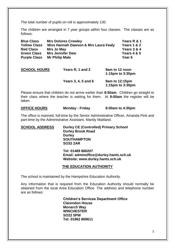The total number of pupils on roll is approximately 130.

The children are arranged in 7 year groups within four classes. The classes are as follows:

| <b>Blue Class</b>   | <b>Mrs Dolores Crowley</b>           | Years R & 1            |
|---------------------|--------------------------------------|------------------------|
| <b>Yellow Class</b> | Miss Hannah Dawson & Mrs Laura Fealy | <b>Years 1 &amp; 2</b> |
| <b>Red Class</b>    | Mrs Jo May                           | Years 3 & 4            |
| <b>Green Class</b>  | <b>Mrs Jennifer Dew</b>              | <b>Years 4 &amp; 5</b> |
| <b>Purple Class</b> | <b>Mr Philip Male</b>                | Year 6                 |
|                     |                                      |                        |
|                     |                                      |                        |

| <b>SCHOOL HOURS</b> | Years R, 1 and 2    | 9am to 12 noon<br>1:15 $pm$ to 3:30 $pm$ |
|---------------------|---------------------|------------------------------------------|
|                     | Years 3, 4, 5 and 6 | 9am to 12:15pm<br>1:15 $pm$ to 3:30 $pm$ |

Please ensure that children do not arrive earlier than **8:50am**. Children go straight to their class where the teacher is waiting for them. At **9:00am** the register will be taken.

**OFFICE HOURS Monday - Friday 8:00am to 4:30pm**

The office is manned, full-time by the Senior Administrative Officer, Amanda Pink and part-time by the Administrative Assistant, Mandy Maitland.

**SCHOOL ADDRESS Durley CE (Controlled) Primary School Durley Brook Road Durley SOUTHAMPTON SO32 2AR Tel: 01489 860207**

**Email: adminoffice@durley.hants.sch.uk Website: www.durley.hants.sch.uk**

#### **THE EDUCATION AUTHORITY**

The school is maintained by the Hampshire Education Authority.

Any information that is required from the Education Authority should normally be obtained from the local Area Education Office. The address and telephone number are as follows:

> **Children's Services Department Office Clarendon House Monarch Way WINCHESTER SO22 5PW Tel: 01962 869611**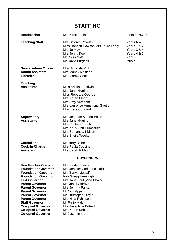# **STAFFING**

| <b>Headteacher</b>                                                                                                                                                                                                                                                                                                                                                                          | <b>Mrs Kirstie Baines</b>                                                                                                                                                                                                                                                                                                          | 01489 860207                                                                                             |
|---------------------------------------------------------------------------------------------------------------------------------------------------------------------------------------------------------------------------------------------------------------------------------------------------------------------------------------------------------------------------------------------|------------------------------------------------------------------------------------------------------------------------------------------------------------------------------------------------------------------------------------------------------------------------------------------------------------------------------------|----------------------------------------------------------------------------------------------------------|
| <b>Teaching Staff</b>                                                                                                                                                                                                                                                                                                                                                                       | <b>Mrs Dolores Crowley</b><br>Miss Hannah Dawson/Mrs Laura Fealy<br>Mrs Jo May<br>Mrs Jenny Dew<br>Mr Philip Male<br>Mr David Burgess                                                                                                                                                                                              | Years R & 1<br>Years 1 & 2<br>Years 3 & 4<br><b>Years 4 &amp; 5</b><br>Year <sub>6</sub><br><b>Music</b> |
| <b>Senior Admin Officer</b><br><b>Admin Assistant</b><br>Librarian                                                                                                                                                                                                                                                                                                                          | Miss Amanda Pink<br>Mrs Mandy Maitland<br>Mrs Marcia Cook                                                                                                                                                                                                                                                                          |                                                                                                          |
| <b>Teaching</b><br><b>Assistants</b>                                                                                                                                                                                                                                                                                                                                                        | Miss Kristina Baldwin<br>Mrs Jane Higgins<br>Miss Rebecca George<br>Mrs Karen Clegg<br>Mrs Amy Abraham<br>Mrs Laurence Armstrong-Gautier<br><b>Miss Kate Goddard</b>                                                                                                                                                               |                                                                                                          |
| <b>Supervisory</b><br><b>Assistants</b>                                                                                                                                                                                                                                                                                                                                                     | Mrs Jeanette Ashton-Poole<br>Mrs Jane Higgins<br><b>Mrs Rachel Crouch</b><br>Mrs Kerry-Ann Humphries<br>Mrs Samantha Kidson<br>Mrs Sheila Weeks                                                                                                                                                                                    |                                                                                                          |
| <b>Caretaker</b><br>Cook-In-Charge<br><b>Assistant</b>                                                                                                                                                                                                                                                                                                                                      | Mr Harry Baines<br><b>Mrs Paula Cousins</b><br>Mrs Sarah Gibbon                                                                                                                                                                                                                                                                    |                                                                                                          |
|                                                                                                                                                                                                                                                                                                                                                                                             | <b>GOVERNORS</b>                                                                                                                                                                                                                                                                                                                   |                                                                                                          |
| <b>Headteacher Governor</b><br><b>Foundation Governor</b><br><b>Foundation Governor</b><br><b>Foundation Governor</b><br><b>LEA Governor</b><br><b>Parent Governor</b><br><b>Parent Governor</b><br><b>Parent Governor</b><br><b>Parent Governor</b><br><b>Parent Governor</b><br><b>Staff Governor</b><br><b>Co-opted Governor</b><br><b>Co-opted Governor</b><br><b>Co-opted Governor</b> | <b>Mrs Kirstie Baines</b><br>Mrs Jennifer Carkeet (Chair)<br>Mrs Tanya Metcalf<br>Rev Gregg Mensingh<br>Mrs Jane Paul (Vice Chair)<br>Mr Daniel Oldroyd<br>Mrs Jemma Parker<br>Mr Nick Apps<br>Mr Christopher Taylor<br>Mrs Nina Robinson<br>Mr Philip Male<br>Mrs Josephine Birbeck<br><b>Mrs Karen Robins</b><br>Mr Justin Innes |                                                                                                          |
|                                                                                                                                                                                                                                                                                                                                                                                             |                                                                                                                                                                                                                                                                                                                                    |                                                                                                          |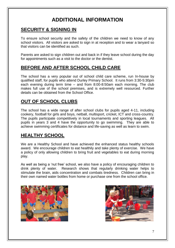# **ADDITIONAL INFORMATION**

### **SECURITY & SIGNING IN**

To ensure school security and the safety of the children we need to know of any school visitors. All visitors are asked to sign in at reception and to wear a lanyard so that visitors can be identified as such.

Parents are asked to sign children out and back in if they leave school during the day for appointments such as a visit to the doctor or the dentist.

### **BEFORE AND AFTER SCHOOL CHILD CARE**

The school has a very popular out of school child care scheme, run In-house by qualified staff, for pupils who attend Durley Primary School. It runs from 3:30-5:30pm each evening during term time – and from 8:00-8:50am each morning. The club makes full use of the school premises, and is extremely well resourced. Further details can be obtained from the School Office.

### **OUT OF SCHOOL CLUBS**

The school has a wide range of after school clubs for pupils aged 4-11, including cookery, football for girls and boys, netball, multisport, cricket, ICT and cross-country. The pupils participate competitively in local tournaments and sporting leagues. All pupils in years 3 and 4 have the opportunity to go swimming. They are able to achieve swimming certificates for distance and life-saving as well as learn to swim.

### **HEALTHY SCHOOL**

We are a Healthy School and have achieved the enhanced status healthy schools award. We encourage children to eat healthily and take plenty of exercise. We have a policy of only allowing children to bring fruit and vegetables to eat during morning play.

As well as being a 'nut free' school, we also have a policy of encouraging children to drink plenty of water. Research shows that regularly drinking water helps to stimulate the brain, aids concentration and combats tiredness. Children can bring in their own named water bottles from home or purchase one from the school office.



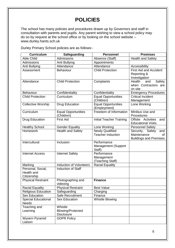# **POLICIES**

The school has many policies and procedures drawn up by Governors and staff in consultation with parents and pupils. Any parent wishing to view a school policy may do so by request at the school office or by looking on the school website – www.durley.hants.sch.uk

Durley Primary School policies are as follows:-

| <b>Curriculum</b>                              | Safeguarding                                             | <b>Personnel</b>                                   | <b>Premises</b>                                                               |
|------------------------------------------------|----------------------------------------------------------|----------------------------------------------------|-------------------------------------------------------------------------------|
| <b>Able Child</b>                              | Admissions                                               | Absence (Staff)                                    | <b>Health and Safety</b>                                                      |
| Admissions                                     | Anti Bullying                                            | Appointments                                       |                                                                               |
| Anti Bullying                                  | Attendance                                               | Attendance                                         | Accessibility                                                                 |
| Assessment                                     | Behaviour                                                | <b>Child Protection</b>                            | <b>First Aid and Accident</b><br>Reporting &<br>Investigation                 |
| Attendance                                     | <b>Child Protection</b>                                  | Complaints                                         | Health<br>Safety<br>and<br>when Contractors are<br>on site                    |
| Behaviour                                      | Confidentiality                                          | Confidentiality                                    | <b>Emergency Procedures</b>                                                   |
| <b>Child Protection</b>                        | Curriculum                                               | <b>Equal Opportunities</b><br>(Children)           | <b>Critical Incident</b><br>Management                                        |
| <b>Collective Worship</b>                      | <b>Drug Education</b>                                    | <b>Equal Opportunities</b><br>(Employment)         | Lone Working                                                                  |
| Curriculum                                     | <b>Equal Opportunities</b><br>(Children)                 | Freedom of Information                             | Minibus Use and<br>Procedures                                                 |
| <b>Drug Education</b>                          | <b>First Aid</b>                                         | <b>Initial Teacher Training</b>                    | Offsite Activities<br>and<br><b>Educational Visits.</b>                       |
| <b>Healthy School</b>                          | <b>Gender Equality</b>                                   | Lone Working                                       | <b>Personnel Safety</b>                                                       |
| <b>Homework</b>                                | <b>Health and Safety</b>                                 | <b>Newly Qualified</b><br><b>Teacher Induction</b> | Security, Safety<br>and<br>Maintenance<br>0f<br><b>Buildings and Premises</b> |
| Intercultural                                  | Inclusion                                                | Performance<br>Management (Support<br>Staff)       |                                                                               |
| <b>Internet Access</b>                         | <b>Internet Safety</b>                                   | Performance<br>Management<br>(Teaching Staff)      |                                                                               |
| Marking                                        | <b>Induction of Volunteers</b>                           | <b>Racial Equality</b>                             |                                                                               |
| Personal, Social,<br>Health and<br>Citizenship | Induction of Staff                                       |                                                    |                                                                               |
| <b>Physical Restraint</b>                      | Photographing and<br>videoing                            | <b>Finance</b>                                     |                                                                               |
| <b>Racial Equality</b>                         | <b>Physical Restraint</b>                                | <b>Best Value</b>                                  |                                                                               |
| <b>Religious Education</b>                     | Safeguarding                                             | Charging                                           |                                                                               |
| <b>Sex Education</b>                           | Safe Recruitment                                         | Finance                                            |                                                                               |
| <b>Special Educational</b><br><b>Needs</b>     | <b>Sex Education</b>                                     | <b>Whistle Blowing</b>                             |                                                                               |
| Teaching and<br>Learning                       | Whistle<br><b>Blowing/Protected</b><br><b>Disclosure</b> |                                                    |                                                                               |
| Wyvern Pyramid<br>Liaison                      | <b>GDPR Policy</b>                                       |                                                    |                                                                               |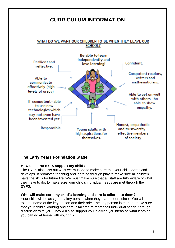## **CURRICULUM INFORMATION**

#### WHAT DO WE WANT OUR CHILDREN TO BE WHEN THEY LEAVE OUR **SCHOOL?**



#### **The Early Years Foundation Stage**

#### **How does the EYFS support my child?**

The EYFS also sets out what we must do to make sure that your child learns and develops. It promotes teaching and learning through play to make sure all children have the skills for future life. We must make sure that all staff are fully aware of what they have to do, to make sure your child's individual needs are met through the EYFS.

#### **Who will make sure my child's learning and care is tailored to them?**

Your child will be assigned a key person when they start at our school. You will be told the name of the key person and their role. The key person is there to make sure that your child's learning and care is tailored to meet their individual needs, through discussion with you. They will also support you in giving you ideas on what learning you can do at home with your child.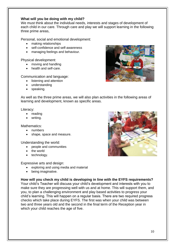#### **What will you be doing with my child?**

We must think about the individual needs, interests and stages of development of each child in our care. Through care and play we will support learning in the following three prime areas,

Personal, social and emotional development:

- making relationships
- self-confidence and self-awareness
- managing feelings and behaviour.

Physical development:

- moving and handling
- health and self-care.

Communication and language:

- listening and attention
- understanding
- speaking.



As well as the three prime areas, we will also plan activities in the following areas of learning and development, known as specific areas.

Literacy:

- reading
- writing.

Mathematics:

- numbers
- shape, space and measure.

Understanding the world:

- people and communities
- the world
- technology.

Expressive arts and design:

- exploring and using media and material
- being imaginative.

#### **How will you check my child is developing in line with the EYFS requirements?**

Your child's Teacher will discuss your child's development and interests with you to make sure they are progressing well with us and at home. This will support them, and you, to plan a challenging environment and play based activities to progress your child's learning. This will happen on a regular basis. There are two required progress checks which take place during EYFS. The first was when your child was between two and three years old and the second in the final term of the Reception year in which your child reaches the age of five.

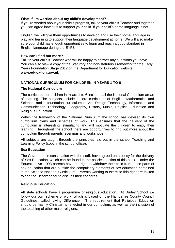#### **What if I'm worried about my child's development?**

If you're worried about your child's progress, talk to your child's Teacher and together you can agree how best to support your child. If your child's home language is not

English, we will give them opportunities to develop and use their home language in play and learning to support their language development at home. We will also make sure your child has enough opportunities to learn and reach a good standard in English language during the EYFS.

#### **How can I find out more?**

Talk to your child's Teacher who will be happy to answer any questions you have. You can also view a copy of the Statutory and non-statutory Framework for the Early Years Foundation Stage 2012 on the Department for Education website **www.education.gov.uk**

#### **NATIONAL CURRICULUM FOR CHILDREN IN YEARS 1 TO 6**

#### **The National Curriculum**

The curriculum for children in Years 1 to 6 includes all the National Curriculum areas of learning. The subjects include a core curriculum of English, Mathematics and Science, and a foundation curriculum of Art, Design Technology, Information and Communication Technology, Geography, History, Music, Physical Education and Religious Education.

Within the framework of the National Curriculum the school has devised its own curriculum plans and schemes of work. This ensures that the delivery of the curriculum is interesting, stimulating and will motivate the children to enjoy their learning. Throughout the school there are opportunities to find out more about the curriculum through parents' evenings and workshops.

All subjects are taught through the principles laid out in the school Teaching and Learning Policy (copy in the school office).

#### **Sex Education**

The Governors, in consultation with the staff, have agreed on a policy for the delivery of Sex Education, which can be found in the policies section of this pack. Under the Education Act 1993 parents have the right to withdraw their child from those parts of sex education that are outside the compulsory elements of sex education contained in the Science National Curriculum. Parents wanting to exercise this right are invited to see the Headteacher to discuss their concerns.

#### **Religious Education**

All state schools have a programme of religious education. At Durley School we follow our own scheme of work, which is based on the Hampshire County Council Guidelines, called 'Living Difference'. The requirement that Religious Education should be mainly Christian is reflected in our curriculum, as well as the inclusion of the teaching of other major religions.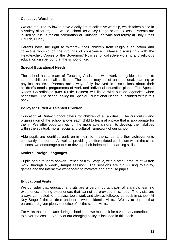#### **Collective Worship**

We are required by law to have a daily act of collective worship, which takes place in a variety of forms, as a whole school, as a Key Stage or as a Class. Parents are invited to join us for our celebration of Christian Festivals and termly at Holy Cross Church, Durley.

Parents have the right to withdraw their children from religious education and collective worship on the grounds of conscience. Please discuss this with the Headteacher. Copies of the Governors' Policies for collective worship and religious education can be found at the school office.

#### **Special Educational Needs**

The school has a team of Teaching Assistants who work alongside teachers to support children of all abilities. The needs may be of an emotional, learning or physical nature. Parents are always fully involved in discussions about their children's needs, programmes of work and individual education plans. The Special Needs Co-ordinator (Mrs Kirstie Baines) will liaise with outside agencies when necessary. The school policy for Special Educational Needs is included within this pack.

#### **Policy for Gifted & Talented Children**

Education at Durley School caters for children of all abilities. The curriculum and organisation of the school allows each child to learn at a pace that is appropriate for them. We offer opportunities for the more able children to develop their abilities within the spiritual, moral, social and cultural framework of our school.

Able pupils are identified early on in their life in the school and their achievements constantly monitored. As well as providing a differentiated curriculum within the class lessons, we encourage pupils to develop their independent learning skills.

#### **Modern Foreign Languages**

Pupils begin to learn spoken French at Key Stage 2, with a small amount of written work, through a weekly taught session. The sessions are fun - using role-play, games and the interactive whiteboard to motivate and enthuse pupils.

#### **Educational Visits**

We consider that educational visits are a very important part of a child's learning experience, offering experiences that cannot be provided in school. The visits are always connected to the class topic work and always followed up back in school. At Key Stage 2 the children undertake two residential visits. We try to ensure that parents are given plenty of notice of all the school visits.

For visits that take place during school time, we must ask for a voluntary contribution to cover the costs. A copy of our charging policy is included in this pack.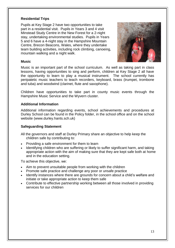#### **Residential Trips**

Pupils at Key Stage 2 have two opportunities to take part in a residential visit. Pupils in Years 3 and 4 visit Minstead Study Centre in the New Forest for a 2-night stay, undertaking environmental studies. Pupils in Years 5 and 6 have a 4-night stay in the Hampshire Mountain Centre, Brecon Beacons, Wales, where they undertake team building activities, including rock climbing, canoeing, mountain walking and a night walk.



#### **Music**

Music is an important part of the school curriculum. As well as taking part in class lessons, having opportunities to sing and perform, children at Key Stage 2 all have the opportunity to learn to play a musical instrument. The school currently has peripatetic music teachers to teach recorders, keyboard, brass (trumpet, trombone and tuba) and woodwind (clarinet, flute and saxophone).

Children have opportunities to take part in county music events through the Hampshire Music Service and the Wyvern cluster.

#### **Additional Information**

Additional information regarding events, school achievements and procedures at Durley School can be found in the Policy folder, in the school office and on the school website (www.durley.hants.sch.uk)

#### **Safeguarding Statement**

- All the governors and staff at Durley Primary share an objective to help keep the children safe by contributing to:
- Providing a safe environment for them to learn
- Identifying children who are suffering or likely to suffer significant harm, and taking appropriate action with the aim of making sure that they are kept safe both at home and in the education setting.

To achieve this objective, we:

- Aim to prevent unsuitable people from working with the children
- Promote safe practice and challenge any poor or unsafe practice
- Identify instances where there are grounds for concern about a child's welfare and initiate or take appropriate action to keep them safe
- Contribute to effective partnership working between all those involved in providing services for our children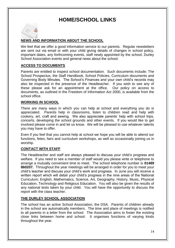# **HOME/SCHOOL LINKS**

#### **NEWS AND INFORMATION ABOUT THE SCHOOL**

We feel that we offer a good information service to our parents. Regular newsletters are sent out via email or with your child giving details of changes in school policy, important dates, any forthcoming events, staff newly appointed by the school, Durley School Association events and general news about the school.

#### **ACCESS TO DOCUMENTS**

Parents are entitled to inspect school documentation. Such documents include; The School Prospectus, the Staff Handbook, School Policies, Curriculum documents and Governing Body Minutes. The School's Finances and your own child's records may also be inspected in the presence of the Headteacher. If you wish to see any of these please ask for an appointment at the office. Our policy on access to documents, as outlined in the Freedom of Information Act 2000, is available from the school office.

#### **WORKING IN SCHOOL**

There are many ways in which you can help at school and everything you do is appreciated. Parents help in classrooms, listen to children read and help with cookery, art, craft and sewing. We also appreciate parents' help with school trips, concerts, developing the school grounds and other events. If you would like to get involved please come in and let us know. We will be pleased to use whatever talents you may have to offer.

Even if you feel that you cannot help at school we hope you will be able to attend our functions, fetes, fairs and curriculum workshops, as well as occasionally joining us in worship.

#### **CONTACT WITH STAFF**

The Headteacher and staff are always pleased to discuss your child's progress and welfare. If you need to see a member of staff would you please write or telephone to arrange a mutually convenient time to meet. The school telephone number is **01489 860207.** Throughout the year meetings will be arranged in order for you to meet your child's teacher and discuss your child's work and progress. In June you will receive a written report which will detail your child's progress in the nine areas of the National Curriculum; English, Mathematics, Science, Art, Geography, History, Music, Physical Education, Technology and Religious Education. You will also be given the results of any national tests taken by your child. You will have the opportunity to discuss the report with the class teacher.

#### **THE DURLEY SCHOOL ASSOCIATION**

The school has an active School Association, the DSA. Parents of children already in the school are automatically members. The time and place of meetings is notified to all parents in a letter from the school. The Association aims to foster the existing close links between home and school. It organises functions of varying kinds throughout the year.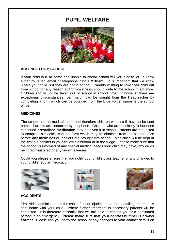### **PUPIL WELFARE**



#### **ABSENCE FROM SCHOOL**

If your child is ill at home and unable to attend school will you please let us know either by letter, email or telephone before **9:10am.** It is important that we know where your child is if they are not in school. Parents wishing to take their child out from school for any reason apart from illness, should write to the school in advance. Children should not be taken out of school in school time. If however there are exceptional circumstances, permission can be sought from the Headteacher by completing a form which can be obtained from the Blue Folder opposite the school office.

#### **MEDICINES**

The school has no medical room and therefore children who are ill have to be sent home. Parents are contacted by telephone. Children who are medically fit but need continued **prescribed medication** may be given it in school. Parents are requested to complete a medical consent form which may be obtained from the school office before any medicines or inhalers are brought into school. Medicines will be kept in the first aid cabinet in your child's classroom or in the fridge. Please make sure that the school is informed of any special medical needs your child may have, any drugs being administered or any known allergies.

Could you please ensure that you notify your child's class teacher of any changes to your child's regular medication.







#### **ACCIDENTS**

First Aid is administered in the case of minor injuries and a form detailing treatment is sent home with your child. Where further treatment is necessary parents will be contacted. It is therefore essential that we are able to contact you or a nominated person in an emergency. **Please make sure that your contact number is always correct.** Please can you notify the school of any changes to your contact details on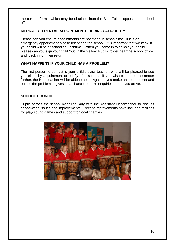the contact forms, which may be obtained from the Blue Folder opposite the school office.

#### **MEDICAL OR DENTAL APPOINTMENTS DURING SCHOOL TIME**

Please can you ensure appointments are not made in school time. If it is an emergency appointment please telephone the school. It is important that we know if your child will be at school at lunchtime. When you come in to collect your child please can you sign your child 'out' in the Yellow 'Pupils' folder near the school office and 'back in' on their return.

#### **WHAT HAPPENS IF YOUR CHILD HAS A PROBLEM?**

The first person to contact is your child's class teacher, who will be pleased to see you either by appointment or briefly after school. If you wish to pursue the matter further, the Headteacher will be able to help. Again, if you make an appointment and outline the problem, it gives us a chance to make enquiries before you arrive.

#### **SCHOOL COUNCIL**

Pupils across the school meet regularly with the Assistant Headteacher to discuss school-wide issues and improvements. Recent improvements have included facilities for playground games and support for local charities.

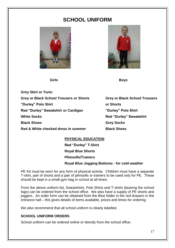# **SCHOOL UNIFORM**



 **Girls Boys**



**Grey Skirt or Tunic Grey or Black School Trousers or Shorts Grey or Black School Trousers "Durley" Polo Shirt or Shorts Red "Durley" Sweatshirt or Cardigan "Durley" Polo Shirt White Socks Red "Durley" Sweatshirt Black Shoes Grey Socks Red & White checked dress in summer Black Shoes**

### **PHYSICAL EDUCATION Red "Durley" T-Shirt Royal Blue Shorts Plimsolls/Trainers Royal Blue Jogging Bottoms - for cold weather**

PE Kit must be worn for any form of physical activity. Children must have a separate T-shirt, pair of shorts and a pair of plimsolls or trainers to be used only for PE. These should be kept in a small gym bag in school at all times.

From the above uniform list, Sweatshirts, Polo Shirts and T-shirts (bearing the school logo) can be ordered from the school office. We also have a supply of PE shorts and joggers. An order form can be obtained from the Blue folder in the red drawers in the entrance hall – this gives details of items available, prices and times for ordering.

We also recommend that all school uniform is clearly labelled.

#### **SCHOOL UNIFORM ORDERS**

School uniform can be ordered online or directly from the school office.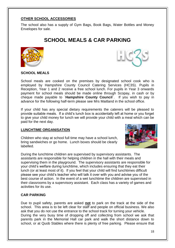#### **OTHER SCHOOL ACCESSORIES**

The school also has a supply of Gym Bags, Book Bags, Water Bottles and Money Envelopes for sale.

# **SCHOOL MEALS & CAR PARKING**





#### **SCHOOL MEALS**

School meals are cooked on the premises by designated school cook who is employed by Hampshire County Council Catering Services (HC3S). Pupils in Reception, Year 1 and 2 receive a free school lunch. For pupils in Year 3 onwards payment for school meals should be made online through Scopay, in cash or by cheque made payable to `**Hampshire County Council**`. If you wish to pay in advance for the following half-term please see Mrs Maitland in the school office.

If your child has any special dietary requirements the caterers will be pleased to provide suitable meals. If a child's lunch box is accidentally left at home or you forget to give your child money for lunch we will provide your child with a meal which can be paid for the next day.

#### **LUNCHTIME ORGANISATION**

Children who stay at school full time may have a school lunch, bring sandwiches or go home. Lunch boxes should be clearly labelled.



During the lunchtime children are supervised by supervisory assistants. The assistants are responsible for helping children in the hall with their meals and supervising them in the playground. The supervisory assistants are responsible for your child's welfare during lunchtime, which includes ensuring that they eat their lunch (or at least most of it). If you feel that your child will find lunchtimes difficult please see your child's teacher who will talk it over with you and advise you of the best course of action. In the event of a wet lunchtime the children are supervised in their classrooms by a supervisory assistant. Each class has a variety of games and activities for its use.

#### **CAR PARKING**

Due to pupil safety, parents are asked **not** to park on the track at the side of the school. This area is to be left clear for staff and people on official business. We also ask that you do not use the entrance to the school track for turning your vehicle. During the very busy time of dropping off and collecting from school we ask that parents park in the Memorial Hall car park and walk the short distance down to school, or at Quob Stables where there is plenty of free parking. Please ensure that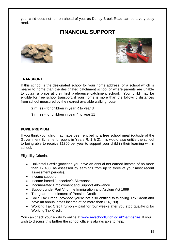your child does not run on ahead of you, as Durley Brook Road can be a very busy road.

# **FINANCIAL SUPPORT**





#### **TRANSPORT**

If this school is the designated school for your home address, or a school which is nearer to home than the designated catchment school or where parents are unable to obtain a place at their first preference catchment school. Your child may be eligible for free school transport, if your home is more than the following distances from school measured by the nearest available walking route:

**2 miles** - for children in year R to year 3

**3 miles** - for children in year 4 to year 11

#### **PUPIL PREMIUM**

If you think your child may have been entitled to a free school meal (outside of the Government Scheme for pupils in Years R, 1 & 2), this would also entitle the school to being able to receive £1300 per year to support your child in their learning within school.

Eligibility Criteria:

- Universal Credit (provided you have an annual net earned income of no more than £7,400, as assessed by earnings from up to three of your most recent assessment periods).
- Income support
- Income-based Jobseeker's Allowance
- Income-rated Employment and Support Allowance
- Support under Part VI of the Immigration and Asylum Act 1999
- The quarantee element of Pension Credit
- Child Tax Credit (provided you're not also entitled to Working Tax Credit and have an annual gross income of no more than £16,190)
- Working Tax Credit run-on paid for four weeks after you stop qualifying for Working Tax Credit.

You can check your eligibility online at [www.myschoollunch.co.uk/hampshire.](http://www.myschoollunch.co.uk/hampshire) If you wish to discuss this further the school office is always able to help.